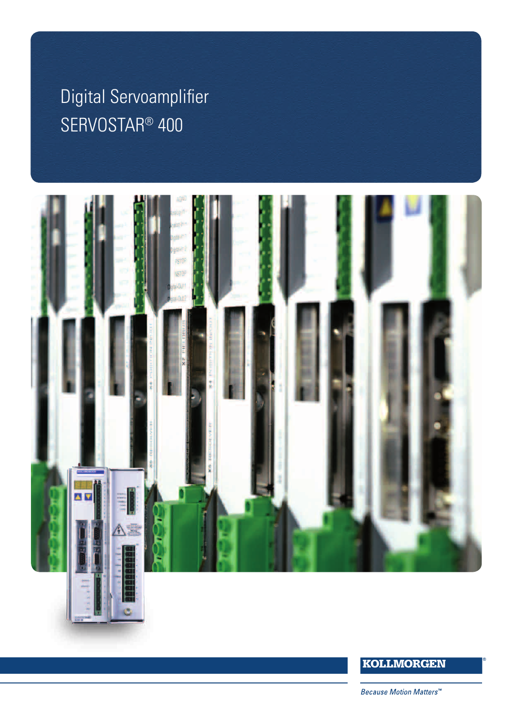# $K = \mathbf{R}$ Digital Servoamplifier<br>ers SERVOSTAR® 400



# **KOLLMORGEN**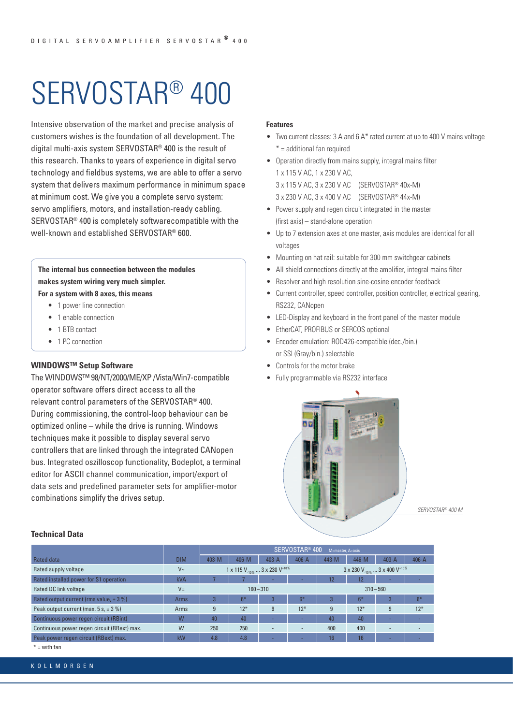# SERVOSTAR® 400

Intensive observation of the market and precise analysis of customers wishes is the foundation of all development. The digital multi-axis system SERVOSTAR® 400 is the result of this research. Thanks to years of experience in digital servo technology and fieldbus systems, we are able to offer a servo system that delivers maximum performance in minimum space at minimum cost. We give you a complete servo system: servo amplifiers, motors, and installation-ready cabling. SERVOSTAR® 400 is completely softwarecompatible with the well-known and established SERVOSTAR® 600.

**The internal bus connection between the modules makes system wiring very much simpler. For a system with 8 axes, this means**

- 1 power line connection
- 1 enable connection
- 1 BTB contact
- 1 PC connection

# **WINDOWS™ Setup Software**

The WINDOWS™ 98/NT/2000/ME/XP /Vista/Win7-compatible operator software offers direct access to all the relevant control parameters of the SERVOSTAR® 400. During commissioning, the control-loop behaviour can be optimized online – while the drive is running. Windows techniques make it possible to display several servo controllers that are linked through the integrated CANopen bus. Integrated oszilloscop functionality, Bodeplot, a terminal editor for ASCII channel communication, import/export of data sets and predefined parameter sets for amplifier-motor combinations simplify the drives setup.

# **Features**

- Two current classes: 3 A and 6 A\* rated current at up to 400 V mains voltage \* = additional fan required
- Operation directly from mains supply, integral mains filter 1 x 115 V AC, 1 x 230 V AC, 3 x 115 V AC, 3 x 230 V AC (SERVOSTAR® 40x-M)
	- 3 x 230 V AC, 3 x 400 V AC (SERVOSTAR® 44x-M)
- Power supply and regen circuit integrated in the master (first axis) – stand-alone operation
- Up to 7 extension axes at one master, axis modules are identical for all voltages
- Mounting on hat rail: suitable for 300 mm switchgear cabinets
- All shield connections directly at the amplifier, integral mains filter
- Resolver and high resolution sine-cosine encoder feedback
- Current controller, speed controller, position controller, electrical gearing, RS232, CANopen
- LED-Display and keyboard in the front panel of the master module
- EtherCAT, PROFIBUS or SERCOS optional
- Encoder emulation: ROD426-compatible (dec./bin.) or SSI (Gray/bin.) selectable
- Controls for the motor brake
- Fully programmable via RS232 interface



*SERVOSTAR® 400 M* 

|                                             |            | SERVOSTAR <sup>®</sup> 400<br>M=master, A=axis |         |                          |                                                                   |       |                 |                          |                          |
|---------------------------------------------|------------|------------------------------------------------|---------|--------------------------|-------------------------------------------------------------------|-------|-----------------|--------------------------|--------------------------|
| Rated data                                  | <b>DIM</b> | $403 - M$                                      | $406-M$ | $403 - A$                | $406 - A$                                                         | 443-M | 446-M           | $403 - A$                | $406 - A$                |
| Rated supply voltage                        | $V_{\sim}$ | 1 x 115 $V_{\text{max}}$ 3 x 230 $V^{+10\%}$   |         |                          | $3 \times 230$ V <sub>-10%</sub> $3 \times 400$ V <sup>+10%</sup> |       |                 |                          |                          |
| Rated installed power for S1 operation      | <b>kVA</b> |                                                |         |                          |                                                                   | 12    | 12              |                          |                          |
| Rated DC link voltage                       | $V =$      | $160 - 310$                                    |         |                          | $310 - 560$                                                       |       |                 |                          |                          |
| Rated output current (rms value, $\pm$ 3 %) | Arms       |                                                | $6*$    | 3                        | $6*$                                                              | 3     | $6*$            | 3                        | $6*$                     |
| Peak output current (max. $5 s, \pm 3 \%$ ) | Arms       | 9                                              | $12*$   | 9                        | $12*$                                                             | 9     | $12*$           | 9                        | $12*$                    |
| Continuous power regen circuit (RBint)      | W          | 40                                             | 40      |                          |                                                                   | 40    | 40              |                          |                          |
| Continuous power regen circuit (RBext) max. | W          | 250                                            | 250     | $\overline{\phantom{a}}$ | $\sim$                                                            | 400   | 400             | $\overline{\phantom{a}}$ | $\overline{\phantom{a}}$ |
| Peak power regen circuit (RBext) max.       | kW         | 4.8                                            | 4.8     |                          |                                                                   | 16    | 16 <sup>1</sup> |                          |                          |

 $* =$  with fan

K O L L M O R G E N

**Technical Data**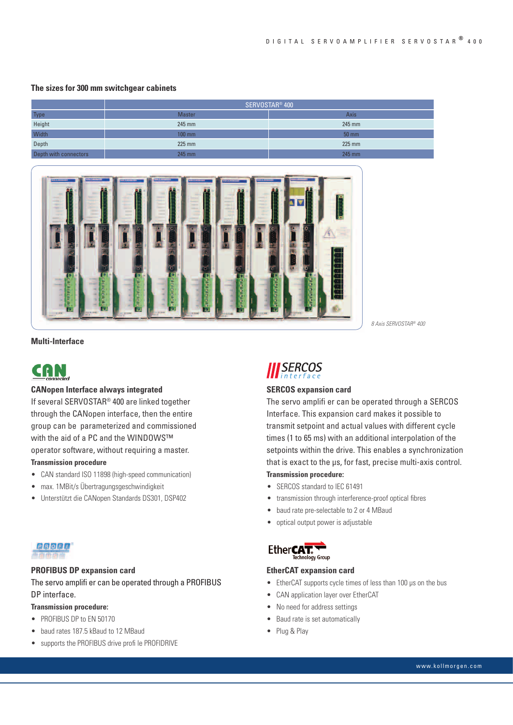# **The sizes for 300 mm switchgear cabinets**

|                       | SERVOSTAR <sup>®</sup> 400 |                   |  |  |  |
|-----------------------|----------------------------|-------------------|--|--|--|
| Type                  | <b>Master</b>              | Axis              |  |  |  |
| Height                | 245 mm                     | 245 mm            |  |  |  |
| Width                 | $100$ mm                   | $50 \, \text{mm}$ |  |  |  |
| Depth                 | $225$ mm                   | $225$ mm          |  |  |  |
| Depth with connectors | 245 mm                     | 245 mm            |  |  |  |



**Multi-Interface**



## **CANopen Interface always integrated**

If several SERVOSTAR® 400 are linked together through the CANopen interface, then the entire group can be parameterized and commissioned with the aid of a PC and the WINDOWS™ operator software, without requiring a master.

# **Transmission procedure**

- CAN standard ISO 11898 (high-speed communication)
- max. 1MBit/s Übertragungsgeschwindigkeit
- Unterstützt die CANopen Standards DS301, DSP402



# **PROFIBUS DP expansion card**

# The servo amplifi er can be operated through a PROFIBUS DP interface.

# **Transmission procedure:**

- PROFIBUS DP to EN 50170
- baud rates 187.5 kBaud to 12 MBaud
- supports the PROFIBUS drive profi le PROFIDRIVE

*8 Axis SERVOSTAR® 400* 



## **SERCOS expansion card**

The servo amplifi er can be operated through a SERCOS Interface. This expansion card makes it possible to transmit setpoint and actual values with different cycle times (1 to 65 ms) with an additional interpolation of the setpoints within the drive. This enables a synchronization that is exact to the µs, for fast, precise multi-axis control.

# **Transmission procedure:**

- SERCOS standard to IEC 61491
- transmission through interference-proof optical fibres
- baud rate pre-selectable to 2 or 4 MBaud
- optical output power is adjustable

## Ether**CAT.**

# **EtherCAT expansion card**

- EtherCAT supports cycle times of less than 100 μs on the bus
- CAN application layer over EtherCAT
- No need for address settings
- Baud rate is set automatically
- Plug & Play